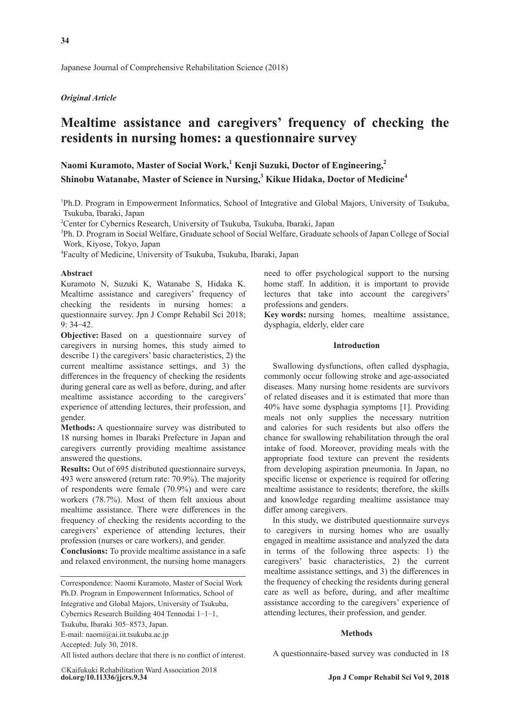## *Original Article*

# **Mealtime assistance and caregivers' frequency of checking the residents in nursing homes: a questionnaire survey**

**Naomi Kuramoto, Master of Social Work,<sup>1</sup> Kenji Suzuki, Doctor of Engineering,2 Shinobu Watanabe, Master of Science in Nursing,<sup>3</sup> Kikue Hidaka, Doctor of Medicine4**

1 Ph.D. Program in Empowerment Informatics, School of Integrative and Global Majors, University of Tsukuba, Tsukuba, Ibaraki, Japan

2 Center for Cybernics Research, University of Tsukuba, Tsukuba, Ibaraki, Japan

3 Ph. D. Program in Social Welfare, Graduate school of Social Welfare, Graduate schools of Japan College of Social Work, Kiyose, Tokyo, Japan

4 Faculty of Medicine, University of Tsukuba, Tsukuba, Ibaraki, Japan

#### **Abstract**

Kuramoto N, Suzuki K, Watanabe S, Hidaka K. Mealtime assistance and caregivers' frequency of checking the residents in nursing homes: a questionnaire survey. Jpn J Compr Rehabil Sci 2018; 9: 34-42.

**Objective:** Based on a questionnaire survey of caregivers in nursing homes, this study aimed to describe 1) the caregivers' basic characteristics, 2) the current mealtime assistance settings, and 3) the differences in the frequency of checking the residents during general care as well as before, during, and after mealtime assistance according to the caregivers' experience of attending lectures, their profession, and gender.

**Methods:** A questionnaire survey was distributed to 18 nursing homes in Ibaraki Prefecture in Japan and caregivers currently providing mealtime assistance answered the questions.

**Results:** Out of 695 distributed questionnaire surveys, 493 were answered (return rate: 70.9%). The majority of respondents were female (70.9%) and were care workers (78.7%). Most of them felt anxious about mealtime assistance. There were differences in the frequency of checking the residents according to the caregivers' experience of attending lectures, their profession (nurses or care workers), and gender.

**Conclusions:** To provide mealtime assistance in a safe and relaxed environment, the nursing home managers

Tsukuba, Ibaraki 305-8573, Japan.

E-mail: naomi@ai.iit.tsukuba.ac.jp

Accepted: July 30, 2018.

All listed authors declare that there is no conflict of interest.

**doi.org/10.11336/jjcrs.9.34** ©Kaifukuki Rehabilitation Ward Association 2018 need to offer psychological support to the nursing home staff. In addition, it is important to provide lectures that take into account the caregivers' professions and genders.

**Key words:** nursing homes, mealtime assistance, dysphagia, elderly, elder care

## **Introduction**

Swallowing dysfunctions, often called dysphagia, commonly occur following stroke and age-associated diseases. Many nursing home residents are survivors of related diseases and it is estimated that more than 40% have some dysphagia symptoms [1]. Providing meals not only supplies the necessary nutrition and calories for such residents but also offers the chance for swallowing rehabilitation through the oral intake of food. Moreover, providing meals with the appropriate food texture can prevent the residents from developing aspiration pneumonia. In Japan, no specific license or experience is required for offering mealtime assistance to residents; therefore, the skills and knowledge regarding mealtime assistance may differ among caregivers.

In this study, we distributed questionnaire surveys to caregivers in nursing homes who are usually engaged in mealtime assistance and analyzed the data in terms of the following three aspects: 1) the caregivers' basic characteristics, 2) the current mealtime assistance settings, and 3) the differences in the frequency of checking the residents during general care as well as before, during, and after mealtime assistance according to the caregivers' experience of attending lectures, their profession, and gender.

## **Methods**

A questionnaire-based survey was conducted in 18

Correspondence: Naomi Kuramoto, Master of Social Work Ph.D. Program in Empowerment Informatics, School of Integrative and Global Majors, University of Tsukuba, Cybernics Research Building 404 Tennodai 1-1-1,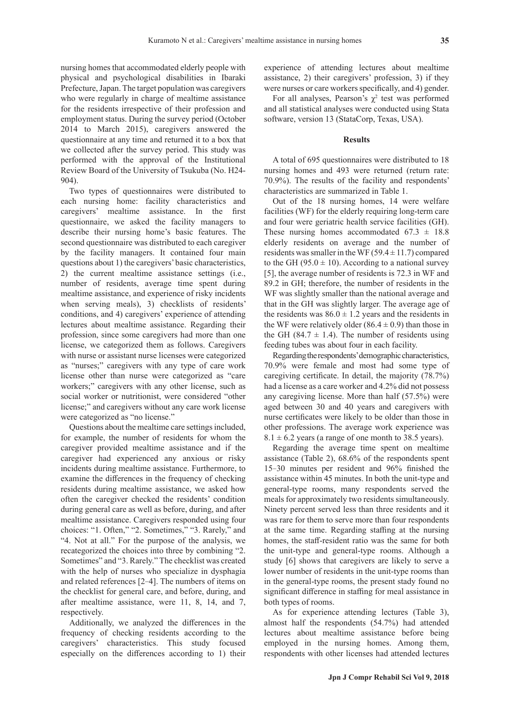nursing homes that accommodated elderly people with physical and psychological disabilities in Ibaraki Prefecture, Japan. The target population was caregivers who were regularly in charge of mealtime assistance for the residents irrespective of their profession and employment status. During the survey period (October 2014 to March 2015), caregivers answered the questionnaire at any time and returned it to a box that we collected after the survey period. This study was

performed with the approval of the Institutional Review Board of the University of Tsukuba (No. H24-

904). Two types of questionnaires were distributed to each nursing home: facility characteristics and caregivers' mealtime assistance. In the first questionnaire, we asked the facility managers to describe their nursing home's basic features. The second questionnaire was distributed to each caregiver by the facility managers. It contained four main questions about 1) the caregivers' basic characteristics, 2) the current mealtime assistance settings (i.e., number of residents, average time spent during mealtime assistance, and experience of risky incidents when serving meals), 3) checklists of residents' conditions, and 4) caregivers' experience of attending lectures about mealtime assistance. Regarding their profession, since some caregivers had more than one license, we categorized them as follows. Caregivers with nurse or assistant nurse licenses were categorized as "nurses;" caregivers with any type of care work license other than nurse were categorized as "care workers;" caregivers with any other license, such as social worker or nutritionist, were considered "other license;" and caregivers without any care work license were categorized as "no license."

Questions about the mealtime care settings included, for example, the number of residents for whom the caregiver provided mealtime assistance and if the caregiver had experienced any anxious or risky incidents during mealtime assistance. Furthermore, to examine the differences in the frequency of checking residents during mealtime assistance, we asked how often the caregiver checked the residents' condition during general care as well as before, during, and after mealtime assistance. Caregivers responded using four choices: "1. Often," "2. Sometimes," "3. Rarely," and "4. Not at all." For the purpose of the analysis, we recategorized the choices into three by combining "2. Sometimes" and "3. Rarely." The checklist was created with the help of nurses who specialize in dysphagia and related references [2-4]. The numbers of items on the checklist for general care, and before, during, and after mealtime assistance, were 11, 8, 14, and 7, respectively.

Additionally, we analyzed the differences in the frequency of checking residents according to the caregivers' characteristics. This study focused especially on the differences according to 1) their experience of attending lectures about mealtime assistance, 2) their caregivers' profession, 3) if they were nurses or care workers specifically, and 4) gender.

For all analyses, Pearson's  $\chi^2$  test was performed and all statistical analyses were conducted using Stata software, version 13 (StataCorp, Texas, USA).

### **Results**

A total of 695 questionnaires were distributed to 18 nursing homes and 493 were returned (return rate: 70.9%). The results of the facility and respondents' characteristics are summarized in Table 1.

Out of the 18 nursing homes, 14 were welfare facilities (WF) for the elderly requiring long-term care and four were geriatric health service facilities (GH). These nursing homes accommodated  $67.3 \pm 18.8$ elderly residents on average and the number of residents was smaller in the WF ( $59.4 \pm 11.7$ ) compared to the GH (95.0  $\pm$  10). According to a national survey [5], the average number of residents is 72.3 in WF and 89.2 in GH; therefore, the number of residents in the WF was slightly smaller than the national average and that in the GH was slightly larger. The average age of the residents was  $86.0 \pm 1.2$  years and the residents in the WF were relatively older  $(86.4 \pm 0.9)$  than those in the GH (84.7  $\pm$  1.4). The number of residents using feeding tubes was about four in each facility.

Regarding the respondents' demographic characteristics, 70.9% were female and most had some type of caregiving certificate. In detail, the majority (78.7%) had a license as a care worker and 4.2% did not possess any caregiving license. More than half (57.5%) were aged between 30 and 40 years and caregivers with nurse certificates were likely to be older than those in other professions. The average work experience was  $8.1 \pm 6.2$  years (a range of one month to 38.5 years).

Regarding the average time spent on mealtime assistance (Table 2), 68.6% of the respondents spent 15-30 minutes per resident and 96% finished the assistance within 45 minutes. In both the unit-type and general-type rooms, many respondents served the meals for approximately two residents simultaneously. Ninety percent served less than three residents and it was rare for them to serve more than four respondents at the same time. Regarding staffing at the nursing homes, the staff-resident ratio was the same for both the unit-type and general-type rooms. Although a study [6] shows that caregivers are likely to serve a lower number of residents in the unit-type rooms than in the general-type rooms, the present stady found no significant difference in staffing for meal assistance in both types of rooms.

As for experience attending lectures (Table 3), almost half the respondents (54.7%) had attended lectures about mealtime assistance before being employed in the nursing homes. Among them, respondents with other licenses had attended lectures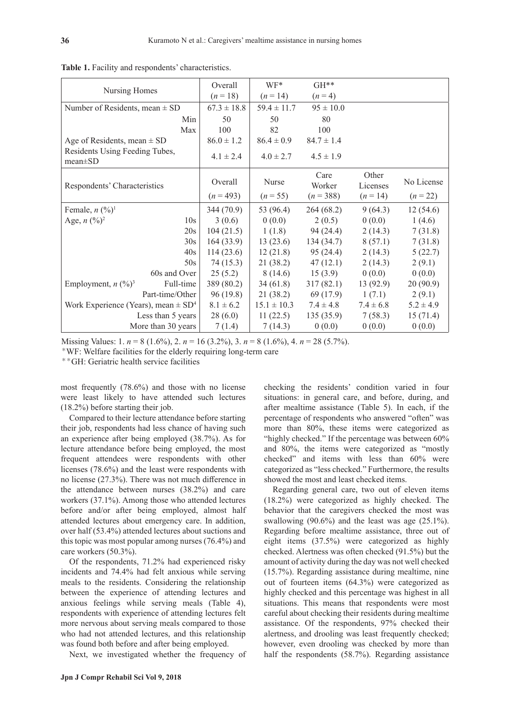| Nursing Homes                                       | Overall         | $WF^*$          | $GH**$         |                   |               |
|-----------------------------------------------------|-----------------|-----------------|----------------|-------------------|---------------|
|                                                     | $(n = 18)$      | $(n = 14)$      | $(n=4)$        |                   |               |
| Number of Residents, mean $\pm$ SD                  | $67.3 \pm 18.8$ | $59.4 \pm 11.7$ | $95 \pm 10.0$  |                   |               |
| Min                                                 | 50              | 50              | 80             |                   |               |
| Max                                                 | 100             | 82              | 100            |                   |               |
| Age of Residents, mean $\pm$ SD                     | $86.0 \pm 1.2$  | $86.4 \pm 0.9$  | $84.7 \pm 1.4$ |                   |               |
| Residents Using Feeding Tubes,<br>$mean \pm SD$     | $4.1 \pm 2.4$   | $4.0 \pm 2.7$   | $4.5 \pm 1.9$  |                   |               |
| Respondents' Characteristics                        | Overall         | Nurse           | Care<br>Worker | Other<br>Licenses | No License    |
|                                                     | $(n = 493)$     | $(n = 55)$      | $(n=388)$      | $(n = 14)$        | $(n = 22)$    |
| Female, $n \frac{(\%)^1}{)}$                        | 344 (70.9)      | 53 (96.4)       | 264(68.2)      | 9(64.3)           | 12(54.6)      |
| Age, $n (%)^2$<br>10 <sub>s</sub>                   | 3(0.6)          | 0(0.0)          | 2(0.5)         | 0(0.0)            | 1(4.6)        |
| 20s                                                 | 104(21.5)       | 1(1.8)          | 94(24.4)       | 2(14.3)           | 7(31.8)       |
| 30s                                                 | 164(33.9)       | 13(23.6)        | 134(34.7)      | 8(57.1)           | 7(31.8)       |
| 40s                                                 | 114(23.6)       | 12(21.8)        | 95(24.4)       | 2(14.3)           | 5(22.7)       |
| 50s                                                 | 74 (15.3)       | 21 (38.2)       | 47(12.1)       | 2(14.3)           | 2(9.1)        |
| 60s and Over                                        | 25(5.2)         | 8(14.6)         | 15(3.9)        | 0(0.0)            | 0(0.0)        |
| Full-time<br>Employment, $n \binom{0}{0}^3$         | 389 (80.2)      | 34(61.8)        | 317(82.1)      | 13(92.9)          | 20(90.9)      |
| Part-time/Other                                     | 96(19.8)        | 21(38.2)        | 69 (17.9)      | 1(7.1)            | 2(9.1)        |
| Work Experience (Years), mean $\pm$ SD <sup>4</sup> | $8.1 \pm 6.2$   | $15.1 \pm 10.3$ | $7.4 \pm 4.8$  | $7.4 \pm 6.8$     | $5.2 \pm 4.9$ |
| Less than 5 years                                   | 28(6.0)         | 11(22.5)        | 135(35.9)      | 7(58.3)           | 15(71.4)      |
| More than 30 years                                  | 7(1.4)          | 7(14.3)         | 0(0.0)         | 0(0.0)            | 0(0.0)        |

**Table 1.** Facility and respondents' characteristics.

Missing Values: 1. *n* = 8 (1.6%), 2. *n* = 16 (3.2%), 3. *n* = 8 (1.6%), 4. *n* = 28 (5.7%).

\*WF: Welfare facilities for the elderly requiring long-term care

\*\*GH: Geriatric health service facilities

most frequently (78.6%) and those with no license were least likely to have attended such lectures (18.2%) before starting their job.

Compared to their lecture attendance before starting their job, respondents had less chance of having such an experience after being employed (38.7%). As for lecture attendance before being employed, the most frequent attendees were respondents with other licenses (78.6%) and the least were respondents with no license (27.3%). There was not much difference in the attendance between nurses (38.2%) and care workers (37.1%). Among those who attended lectures before and/or after being employed, almost half attended lectures about emergency care. In addition, over half (53.4%) attended lectures about suctions and this topic was most popular among nurses (76.4%) and care workers (50.3%).

Of the respondents, 71.2% had experienced risky incidents and 74.4% had felt anxious while serving meals to the residents. Considering the relationship between the experience of attending lectures and anxious feelings while serving meals (Table 4), respondents with experience of attending lectures felt more nervous about serving meals compared to those who had not attended lectures, and this relationship was found both before and after being employed.

Next, we investigated whether the frequency of

checking the residents' condition varied in four situations: in general care, and before, during, and after mealtime assistance (Table 5). In each, if the percentage of respondents who answered "often" was more than 80%, these items were categorized as "highly checked." If the percentage was between 60% and 80%, the items were categorized as "mostly checked" and items with less than 60% were categorized as "less checked." Furthermore, the results showed the most and least checked items.

Regarding general care, two out of eleven items (18.2%) were categorized as highly checked. The behavior that the caregivers checked the most was swallowing  $(90.6\%)$  and the least was age  $(25.1\%)$ . Regarding before mealtime assistance, three out of eight items (37.5%) were categorized as highly checked. Alertness was often checked (91.5%) but the amount of activity during the day was not well checked (15.7%). Regarding assistance during mealtime, nine out of fourteen items (64.3%) were categorized as highly checked and this percentage was highest in all situations. This means that respondents were most careful about checking their residents during mealtime assistance. Of the respondents, 97% checked their alertness, and drooling was least frequently checked; however, even drooling was checked by more than half the respondents (58.7%). Regarding assistance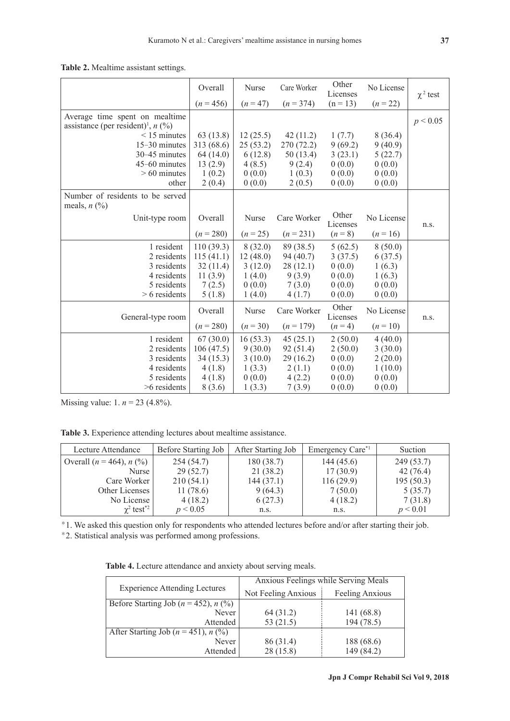|  |  | Table 2. Mealtime assistant settings. |  |  |
|--|--|---------------------------------------|--|--|
|--|--|---------------------------------------|--|--|

|                                                                                    | Overall     | Nurse      | Care Worker | Other<br>Licenses | No License | $\chi^2$ test |
|------------------------------------------------------------------------------------|-------------|------------|-------------|-------------------|------------|---------------|
|                                                                                    | $(n = 456)$ | $(n = 47)$ | $(n = 374)$ | $(n = 13)$        | $(n = 22)$ |               |
| Average time spent on mealtime<br>assistance (per resident) <sup>1</sup> , $n$ (%) |             |            |             |                   |            | p < 0.05      |
| $\leq$ 15 minutes                                                                  | 63(13.8)    | 12(25.5)   | 42(11.2)    | 1(7.7)            | 8(36.4)    |               |
| 15-30 minutes                                                                      | 313 (68.6)  | 25(53.2)   | 270 (72.2)  | 9(69.2)           | 9(40.9)    |               |
| 30-45 minutes                                                                      | 64(14.0)    | 6(12.8)    | 50 (13.4)   | 3(23.1)           | 5(22.7)    |               |
| 45-60 minutes                                                                      | 13(2.9)     | 4(8.5)     | 9(2.4)      | 0(0.0)            | 0(0.0)     |               |
| $>60$ minutes                                                                      | 1(0.2)      | 0(0.0)     | 1(0.3)      | 0(0.0)            | 0(0.0)     |               |
| other                                                                              | 2(0.4)      | 0(0.0)     | 2(0.5)      | 0(0.0)            | 0(0.0)     |               |
| Number of residents to be served<br>meals, $n \left(\frac{0}{0}\right)$            |             |            |             |                   |            |               |
| Unit-type room                                                                     | Overall     | Nurse      | Care Worker | Other<br>Licenses | No License | n.s.          |
|                                                                                    | $(n = 280)$ | $(n = 25)$ | $(n = 231)$ | $(n = 8)$         | $(n=16)$   |               |
| 1 resident                                                                         | 110(39.3)   | 8(32.0)    | 89 (38.5)   | 5(62.5)           | 8(50.0)    |               |
| 2 residents                                                                        | 115(41.1)   | 12(48.0)   | 94 (40.7)   | 3(37.5)           | 6(37.5)    |               |
| 3 residents                                                                        | 32(11.4)    | 3(12.0)    | 28(12.1)    | 0(0.0)            | 1(6.3)     |               |
| 4 residents                                                                        | 11(3.9)     | 1(4.0)     | 9(3.9)      | 0(0.0)            | 1(6.3)     |               |
| 5 residents                                                                        | 7(2.5)      | 0(0.0)     | 7(3.0)      | 0(0.0)            | 0(0.0)     |               |
| $> 6$ residents                                                                    | 5(1.8)      | 1(4.0)     | 4(1.7)      | 0(0.0)            | 0(0.0)     |               |
| General-type room                                                                  | Overall     | Nurse      | Care Worker | Other<br>Licenses | No License | n.s.          |
|                                                                                    | $(n = 280)$ | $(n=30)$   | $(n = 179)$ | $(n=4)$           | $(n = 10)$ |               |
| 1 resident                                                                         | 67(30.0)    | 16(53.3)   | 45(25.1)    | 2(50.0)           | 4(40.0)    |               |
| 2 residents                                                                        | 106(47.5)   | 9(30.0)    | 92(51.4)    | 2(50.0)           | 3(30.0)    |               |
| 3 residents                                                                        | 34(15.3)    | 3(10.0)    | 29(16.2)    | 0(0.0)            | 2(20.0)    |               |
| 4 residents                                                                        | 4(1.8)      | 1(3.3)     | 2(1.1)      | 0(0.0)            | 1(10.0)    |               |
| 5 residents                                                                        | 4(1.8)      | 0(0.0)     | 4(2.2)      | 0(0.0)            | 0(0.0)     |               |
| $>6$ residents                                                                     | 8(3.6)      | 1(3.3)     | 7(3.9)      | 0(0.0)            | 0(0.0)     |               |

Missing value: 1. *n* = 23 (4.8%).

**Table 3.** Experience attending lectures about mealtime assistance.

| Lecture Attendance            | Before Starting Job | After Starting Job | Emergency Care <sup>*1</sup> | Suction   |
|-------------------------------|---------------------|--------------------|------------------------------|-----------|
| Overall $(n = 464)$ , $n$ (%) | 254(54.7)           | 180(38.7)          | 144(45.6)                    | 249(53.7) |
| Nurse                         | 29(52.7)            | 21 (38.2)          | 17(30.9)                     | 42(76.4)  |
| Care Worker                   | 210(54.1)           | 144(37.1)          | 116(29.9)                    | 195(50.3) |
| Other Licenses                | 11(78.6)            | 9(64.3)            | 7(50.0)                      | 5(35.7)   |
| No License                    | 4(18.2)             | 6(27.3)            | 4(18.2)                      | 7(31.8)   |
| $\chi^2$ test <sup>*2</sup>   | p < 0.05            | n.s.               | n.s.                         | p < 0.01  |

\*1. We asked this question only for respondents who attended lectures before and/or after starting their job.

\*2. Statistical analysis was performed among professions.

| Table 4. Lecture attendance and anxiety about serving meals. |  |  |  |
|--------------------------------------------------------------|--|--|--|
|--------------------------------------------------------------|--|--|--|

|                                            | Anxious Feelings while Serving Meals |                 |  |  |  |
|--------------------------------------------|--------------------------------------|-----------------|--|--|--|
| <b>Experience Attending Lectures</b>       | Not Feeling Anxious                  | Feeling Anxious |  |  |  |
| Before Starting Job ( $n = 452$ ), $n$ (%) |                                      |                 |  |  |  |
| Never                                      | 64 (31.2)                            | 141(68.8)       |  |  |  |
| Attended                                   | 53 $(21.5)$                          | 194 (78.5)      |  |  |  |
| After Starting Job ( $n = 451$ ), $n$ (%)  |                                      |                 |  |  |  |
| Never                                      | 86 (31.4)                            | 188 (68.6)      |  |  |  |
| Attended                                   | 28 (15.8)                            | 149 (84.2)      |  |  |  |
|                                            |                                      |                 |  |  |  |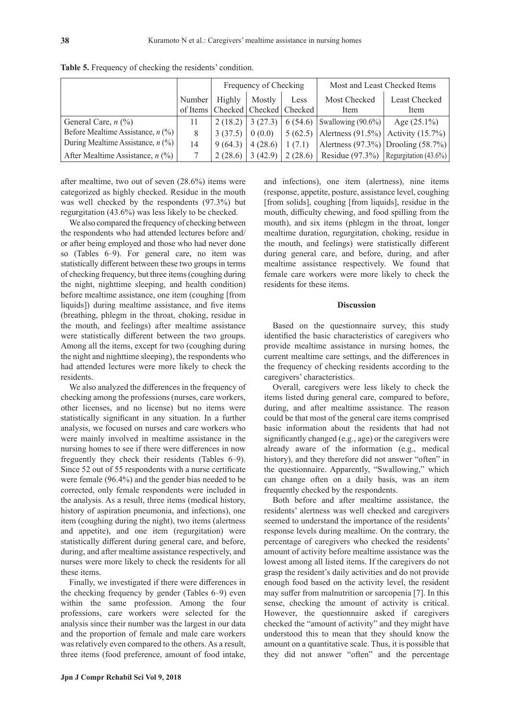|                                     |          | Frequency of Checking |                    |                             | Most and Least Checked Items                          |                |  |  |
|-------------------------------------|----------|-----------------------|--------------------|-----------------------------|-------------------------------------------------------|----------------|--|--|
|                                     | Number   | Highly                | Mostly             | Less                        | Most Checked                                          | Least Checked  |  |  |
|                                     | of Items |                       |                    | Checked   Checked   Checked | Item                                                  | Item           |  |  |
| General Care, $n$ (%)               | 11       |                       |                    |                             | 2 (18.2) 3 (27.3) 6 (54.6) Swallowing (90.6%)         | Age $(25.1\%)$ |  |  |
| Before Mealtime Assistance, $n$ (%) | 8        | 3(37.5)               | 0(0.0)             |                             | 5 (62.5) Alertness (91.5%) Activity (15.7%)           |                |  |  |
| During Mealtime Assistance, $n$ (%) | 14       | 9 (64.3)              | $4(28.6)$   1(7.1) |                             | Alertness $(97.3\%)$ Drooling $(58.7\%)$              |                |  |  |
| After Mealtime Assistance, $n$ (%)  |          | 2(28.6)               | 3(42.9)            |                             | $\mid$ 2 (28.6) Residue (97.3%) Regurgitation (43.6%) |                |  |  |

**Table 5.** Frequency of checking the residents' condition.

after mealtime, two out of seven (28.6%) items were categorized as highly checked. Residue in the mouth was well checked by the respondents (97.3%) but regurgitation (43.6%) was less likely to be checked.

We also compared the frequency of checking between the respondents who had attended lectures before and/ or after being employed and those who had never done so (Tables 6-9). For general care, no item was statistically different between these two groups in terms of checking frequency, but three items (coughing during the night, nighttime sleeping, and health condition) before mealtime assistance, one item (coughing [from liquids]) during mealtime assistance, and five items (breathing, phlegm in the throat, choking, residue in the mouth, and feelings) after mealtime assistance were statistically different between the two groups. Among all the items, except for two (coughing during the night and nighttime sleeping), the respondents who had attended lectures were more likely to check the residents.

We also analyzed the differences in the frequency of checking among the professions (nurses, care workers, other licenses, and no license) but no items were statistically significant in any situation. In a further analysis, we focused on nurses and care workers who were mainly involved in mealtime assistance in the nursing homes to see if there were differences in now freguently they check their residents (Tables 6-9). Since 52 out of 55 respondents with a nurse certificate were female (96.4%) and the gender bias needed to be corrected, only female respondents were included in the analysis. As a result, three items (medical history, history of aspiration pneumonia, and infections), one item (coughing during the night), two items (alertness and appetite), and one item (regurgitation) were statistically different during general care, and before, during, and after mealtime assistance respectively, and nurses were more likely to check the residents for all these items.

Finally, we investigated if there were differences in the checking frequency by gender (Tables 6-9) even within the same profession. Among the four professions, care workers were selected for the analysis since their number was the largest in our data and the proportion of female and male care workers was relatively even compared to the others. As a result, three items (food preference, amount of food intake, and infections), one item (alertness), nine items (response, appetite, posture, assistance level, coughing [from solids], coughing [from liquids], residue in the mouth, difficulty chewing, and food spilling from the mouth), and six items (phlegm in the throat, longer mealtime duration, regurgitation, choking, residue in the mouth, and feelings) were statistically different during general care, and before, during, and after mealtime assistance respectively. We found that female care workers were more likely to check the residents for these items.

### **Discussion**

Based on the questionnaire survey, this study identified the basic characteristics of caregivers who provide mealtime assistance in nursing homes, the current mealtime care settings, and the differences in the frequency of checking residents according to the caregivers' characteristics.

Overall, caregivers were less likely to check the items listed during general care, compared to before, during, and after mealtime assistance. The reason could be that most of the general care items comprised basic information about the residents that had not significantly changed (e.g., age) or the caregivers were already aware of the information (e.g., medical history), and they therefore did not answer "often" in the questionnaire. Apparently, "Swallowing," which can change often on a daily basis, was an item frequently checked by the respondents.

Both before and after mealtime assistance, the residents' alertness was well checked and caregivers seemed to understand the importance of the residents' response levels during mealtime. On the contrary, the percentage of caregivers who checked the residents' amount of activity before mealtime assistance was the lowest among all listed items. If the caregivers do not grasp the resident's daily activities and do not provide enough food based on the activity level, the resident may suffer from malnutrition or sarcopenia [7]. In this sense, checking the amount of activity is critical. However, the questionnaire asked if caregivers checked the "amount of activity" and they might have understood this to mean that they should know the amount on a quantitative scale. Thus, it is possible that they did not answer "often" and the percentage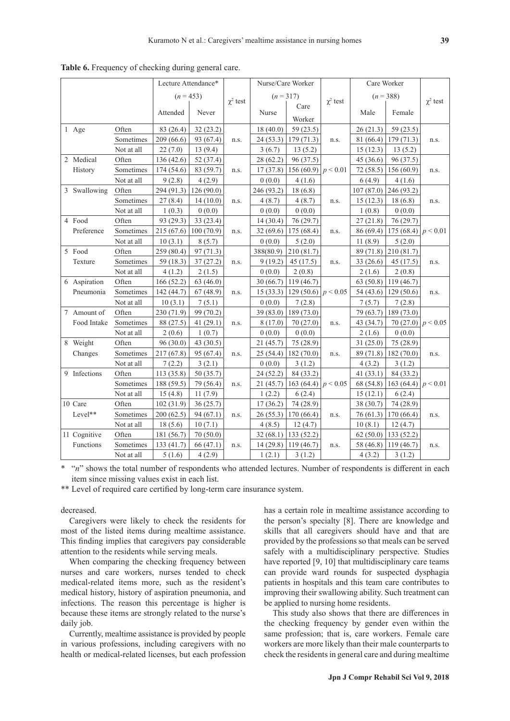|  |              | Lecture Attendance* |             |           |               | Nurse/Care Worker |                                | Care Worker   |           |                        |               |
|--|--------------|---------------------|-------------|-----------|---------------|-------------------|--------------------------------|---------------|-----------|------------------------|---------------|
|  |              |                     | $(n = 453)$ |           |               |                   | $(n=317)$                      |               |           | $(n = 388)$            |               |
|  |              |                     |             |           | $\chi^2$ test |                   | Care                           | $\chi^2$ test |           |                        | $\chi^2$ test |
|  |              |                     | Attended    | Never     |               | Nurse             | Worker                         |               | Male      | Female                 |               |
|  | 1 Age        | Often               | 83 (26.4)   | 32(23.2)  |               | 18(40.0)          | 59 (23.5)                      |               | 26(21.3)  | 59 (23.5)              |               |
|  |              | Sometimes           | 209 (66.6)  | 93 (67.4) | n.s.          | 24(53.3)          | 179(71.3)                      | n.s.          | 81 (66.4) | 179(71.3)              | n.s.          |
|  |              | Not at all          | 22(7.0)     | 13(9.4)   |               | 3(6.7)            | 13(5.2)                        |               | 15(12.3)  | 13(5.2)                |               |
|  | 2 Medical    | Often               | 136(42.6)   | 52 (37.4) |               | 28 (62.2)         | 96 (37.5)                      |               | 45 (36.6) | 96 (37.5)              |               |
|  | History      | Sometimes           | 174(54.6)   | 83 (59.7) | n.s.          | 17(37.8)          | 156 (60.9) $\vert p \leq 0.01$ |               | 72 (58.5) | 156 (60.9)             | n.s.          |
|  |              | Not at all          | 9(2.8)      | 4(2.9)    |               | 0(0.0)            | 4(1.6)                         |               | 6(4.9)    | 4(1.6)                 |               |
|  | 3 Swallowing | Often               | 294 (91.3)  | 126(90.0) |               | 246 (93.2)        | 18(6.8)                        |               | 107(87.0) | 246 (93.2)             |               |
|  |              | Sometimes           | 27(8.4)     | 14(10.0)  | n.s.          | 4(8.7)            | 4(8.7)                         | n.s.          | 15(12.3)  | 18(6.8)                | n.s.          |
|  |              | Not at all          | 1(0.3)      | 0(0.0)    |               | 0(0.0)            | 0(0.0)                         |               | 1(0.8)    | 0(0.0)                 |               |
|  | 4 Food       | Often               | 93 (29.3)   | 33(23.4)  |               | 14(30.4)          | 76(29.7)                       |               | 27(21.8)  | 76 (29.7)              |               |
|  | Preference   | Sometimes           | 215(67.6)   | 100(70.9) | n.s.          | 32(69.6)          | 175(68.4)                      | n.s.          | 86 (69.4) | 175 (68.4) $p < 0.01$  |               |
|  |              | Not at all          | 10(3.1)     | 8(5.7)    |               | 0(0.0)            | 5(2.0)                         |               | 11(8.9)   | 5(2.0)                 |               |
|  | 5 Food       | Often               | 259 (80.4)  | 97(71.3)  |               | 388(80.9)         | 210 (81.7)                     |               | 89 (71.8) | 210 (81.7)             |               |
|  | Texture      | Sometimes           | 59 (18.3)   | 37(27.2)  | n.s.          | 9 (19.2)          | 45(17.5)                       | n.s.          | 33 (26.6) | 45 (17.5)              | n.s.          |
|  |              | Not at all          | 4(1.2)      | 2(1.5)    |               | 0(0.0)            | 2(0.8)                         |               | 2(1.6)    | 2(0.8)                 |               |
|  | 6 Aspiration | Often               | 166(52.2)   | 63(46.0)  |               | 30(66.7)          | 119(46.7)                      |               | 63(50.8)  | 119(46.7)              |               |
|  | Pneumonia    | Sometimes           | 142 (44.7)  | 67(48.9)  | n.s.          | 15(33.3)          | 129 (50.6) $p < 0.05$          |               | 54 (43.6) | 129(50.6)              | n.s.          |
|  |              | Not at all          | 10(3.1)     | 7(5.1)    |               | 0(0.0)            | 7(2.8)                         |               | 7(5.7)    | 7(2.8)                 |               |
|  | 7 Amount of  | Often               | 230 (71.9)  | 99 (70.2) |               | 39 (83.0)         | 189 (73.0)                     |               | 79 (63.7) | 189 (73.0)             |               |
|  | Food Intake  | Sometimes           | 88 (27.5)   | 41(29.1)  | n.s.          | 8 (17.0)          | 70 (27.0)                      | n.s.          | 43 (34.7) | 70 (27.0) $ p < 0.05$  |               |
|  |              | Not at all          | 2(0.6)      | 1(0.7)    |               | 0(0.0)            | 0(0.0)                         |               | 2(1.6)    | 0(0.0)                 |               |
|  | 8 Weight     | Often               | 96(30.0)    | 43 (30.5) |               | 21(45.7)          | 75 (28.9)                      |               | 31(25.0)  | 75 (28.9)              |               |
|  | Changes      | Sometimes           | 217(67.8)   | 95 (67.4) | n.s.          | 25(54.4)          | 182(70.0)                      | n.s.          | 89 (71.8) | 182(70.0)              | n.s.          |
|  |              | Not at all          | 7(2.2)      | 3(2.1)    |               | 0(0.0)            | 3(1.2)                         |               | 4(3.2)    | 3(1.2)                 |               |
|  | 9 Infections | Often               | 113 (35.8)  | 50 (35.7) |               | 24 (52.2)         | 84 (33.2)                      |               | 41(33.1)  | 84 (33.2)              |               |
|  |              | Sometimes           | 188 (59.5)  | 79 (56.4) | n.s.          | 21 (45.7)         | 163 (64.4) $ p < 0.05$         |               | 68 (54.8) | 163 (64.4) $ p < 0.01$ |               |
|  |              | Not at all          | 15(4.8)     | 11(7.9)   |               | 1(2.2)            | 6(2.4)                         |               | 15(12.1)  | 6(2.4)                 |               |
|  | 10 Care      | Often               | 102(31.9)   | 36(25.7)  |               | 17(36.2)          | 74 (28.9)                      |               | 38 (30.7) | 74 (28.9)              |               |
|  | Level**      | Sometimes           | 200(62.5)   | 94 (67.1) | n.s.          | 26(55.3)          | 170(66.4)                      | n.s.          | 76 (61.3) | 170 (66.4)             | n.s.          |
|  |              | Not at all          | 18(5.6)     | 10(7.1)   |               | 4(8.5)            | 12(4.7)                        |               | 10(8.1)   | 12(4.7)                |               |
|  | 11 Cognitive | Often               | 181 (56.7)  | 70(50.0)  |               | 32(68.1)          | 133(52.2)                      |               | 62(50.0)  | 133(52.2)              |               |
|  | Functions    | Sometimes           | 133 (41.7)  | 66 (47.1) | n.s.          | 14(29.8)          | 119(46.7)                      | n.s.          | 58 (46.8) | 119(46.7)              | n.s.          |
|  |              | Not at all          | 5(1.6)      | 4(2.9)    |               | 1(2.1)            | 3(1.2)                         |               | 4(3.2)    | 3(1.2)                 |               |

**Table 6.** Frequency of checking during general care.

\* "*n*" shows the total number of respondents who attended lectures. Number of respondents is different in each item since missing values exist in each list.

\*\* Level of required care certified by long-term care insurance system.

decreased.

Caregivers were likely to check the residents for most of the listed items during mealtime assistance. This finding implies that caregivers pay considerable attention to the residents while serving meals.

When comparing the checking frequency between nurses and care workers, nurses tended to check medical-related items more, such as the resident's medical history, history of aspiration pneumonia, and infections. The reason this percentage is higher is because these items are strongly related to the nurse's daily job.

Currently, mealtime assistance is provided by people in various professions, including caregivers with no health or medical-related licenses, but each profession has a certain role in mealtime assistance according to the person's specialty [8]. There are knowledge and skills that all caregivers should have and that are provided by the professions so that meals can be served safely with a multidisciplinary perspective. Studies have reported [9, 10] that multidisciplinary care teams can provide ward rounds for suspected dysphagia patients in hospitals and this team care contributes to improving their swallowing ability. Such treatment can be applied to nursing home residents.

This study also shows that there are differences in the checking frequency by gender even within the same profession; that is, care workers. Female care workers are more likely than their male counterparts to check the residents in general care and during mealtime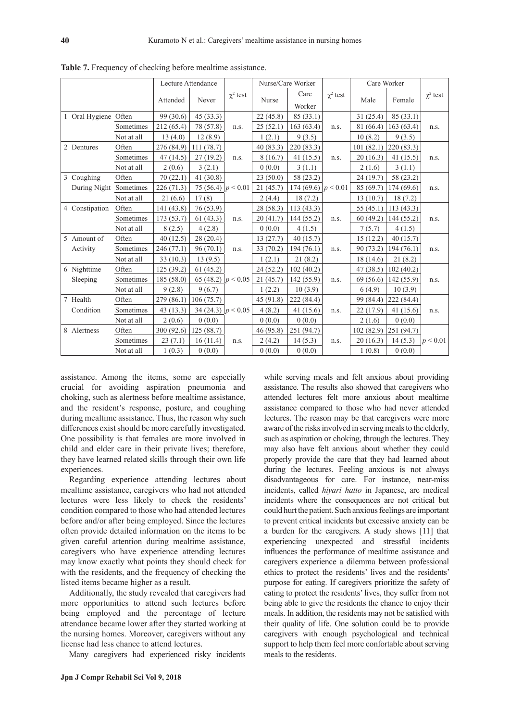|  |                      | Lecture Attendance |                   |                       |                 | Nurse/Care Worker |                        | Care Worker   |           |             |               |
|--|----------------------|--------------------|-------------------|-----------------------|-----------------|-------------------|------------------------|---------------|-----------|-------------|---------------|
|  |                      |                    |                   |                       | $\gamma^2$ test |                   | Care                   | $\chi^2$ test |           |             | $\chi^2$ test |
|  |                      |                    | Never<br>Attended |                       |                 | Nurse<br>Worker   |                        |               | Male      | Female      |               |
|  | 1 Oral Hygiene Often |                    | 99(30.6)          | 45(33.3)              |                 | 22(45.8)          | 85(33.1)               |               | 31(25.4)  | 85(33.1)    |               |
|  |                      | Sometimes          | 212 (65.4)        | 78 (57.8)             | n.s.            | 25(52.1)          | 163(63.4)              | n.s.          | 81 (66.4) | 163 (63.4)  | n.s.          |
|  |                      | Not at all         | 13(4.0)           | 12(8.9)               |                 | 1(2.1)            | 9(3.5)                 |               | 10(8.2)   | 9(3.5)      |               |
|  | 2 Dentures           | Often              | 276 (84.9)        | 111(78.7)             |                 | 40(83.3)          | 220 (83.3)             |               | 101(82.1) | 220(83.3)   |               |
|  |                      | Sometimes          | 47(14.5)          | 27(19.2)              | n.s.            | 8(16.7)           | 41(15.5)               | n.s.          | 20(16.3)  | 41 $(15.5)$ | n.s.          |
|  |                      | Not at all         | 2(0.6)            | 3(2.1)                |                 | 0(0.0)            | 3(1.1)                 |               | 2(1.6)    | 3(1.1)      |               |
|  | 3 Coughing           | Often              | 70(22.1)          | 41(30.8)              |                 | 23(50.0)          | 58 (23.2)              |               | 24(19.7)  | 58 (23.2)   |               |
|  | During Night         | Sometimes          | 226(71.3)         | 75 (56.4) $p < 0.01$  |                 | 21(45.7)          | 174 (69.6) $ p < 0.01$ |               | 85 (69.7) | 174 (69.6)  | n.s.          |
|  |                      | Not at all         | 21(6.6)           | 17(8)                 |                 | 2(4.4)            | 18(7.2)                |               | 13(10.7)  | 18(7.2)     |               |
|  | 4 Constipation       | Often              | 141(43.8)         | 76 (53.9)             |                 | 28 (58.3)         | 113(43.3)              |               | 55(45.1)  | 113(43.3)   |               |
|  |                      | Sometimes          | 173(53.7)         | 61(43.3)              | n.s.            | 20(41.7)          | 144 (55.2)             | n.s.          | 60(49.2)  | 144 (55.2)  | n.s.          |
|  |                      | Not at all         | 8(2.5)            | 4(2.8)                |                 | 0(0.0)            | 4(1.5)                 |               | 7(5.7)    | 4(1.5)      |               |
|  | 5 Amount of          | Often              | 40(12.5)          | 28 (20.4)             |                 | 13(27.7)          | 40(15.7)               |               | 15(12.2)  | 40(15.7)    |               |
|  | Activity             | Sometimes          | 246(77.1)         | 96(70.1)              | n.s.            | 33 (70.2)         | 194(76.1)              | n.s.          | 90 (73.2) | 194 (76.1)  | n.s.          |
|  |                      | Not at all         | 33(10.3)          | 13(9.5)               |                 | 1(2.1)            | 21(8.2)                |               | 18 (14.6) | 21(8.2)     |               |
|  | 6 Nighttime          | Often              | 125(39.2)         | 61(45.2)              |                 | 24 (52.2)         | 102(40.2)              |               | 47 (38.5) | 102(40.2)   |               |
|  | Sleeping             | Sometimes          | 185(58.0)         | 65 (48.2) $ p < 0.05$ |                 | 21(45.7)          | 142(55.9)              | n.s.          | 69(56.6)  | 142 (55.9)  | n.s.          |
|  |                      | Not at all         | 9(2.8)            | 9(6.7)                |                 | 1(2.2)            | 10(3.9)                |               | 6(4.9)    | 10(3.9)     |               |
|  | 7 Health             | Often              | 279(86.1)         | 106(75.7)             |                 | 45 (91.8)         | 222 (84.4)             |               | 99 (84.4) | 222 (84.4)  |               |
|  | Condition            | Sometimes          | 43(13.3)          | 34 (24.3) $ p < 0.05$ |                 | 4(8.2)            | 41(15.6)               | n.s.          | 22 (17.9) | 41 (15.6)   | n.s.          |
|  |                      | Not at all         | 2(0.6)            | 0(0.0)                |                 | 0(0.0)            | 0(0.0)                 |               | 2(1.6)    | 0(0.0)      |               |
|  | 8 Alertness          | Often              | 300(92.6)         | 125(88.7)             |                 | 46 (95.8)         | 251 (94.7)             |               | 102(82.9) | 251(94.7)   |               |
|  |                      | Sometimes          | 23(7.1)           | 16(11.4)              | n.s.            | 2(4.2)            | 14(5.3)                | n.s.          | 20(16.3)  | 14(5.3)     | p < 0.01      |
|  |                      | Not at all         | 1(0.3)            | 0(0.0)                |                 | 0(0.0)            | 0(0.0)                 |               | 1(0.8)    | 0(0.0)      |               |

**Table 7.** Frequency of checking before mealtime assistance.

assistance. Among the items, some are especially crucial for avoiding aspiration pneumonia and choking, such as alertness before mealtime assistance, and the resident's response, posture, and coughing during mealtime assistance. Thus, the reason why such differences exist should be more carefully investigated. One possibility is that females are more involved in child and elder care in their private lives; therefore, they have learned related skills through their own life experiences.

Regarding experience attending lectures about mealtime assistance, caregivers who had not attended lectures were less likely to check the residents' condition compared to those who had attended lectures before and/or after being employed. Since the lectures often provide detailed information on the items to be given careful attention during mealtime assistance, caregivers who have experience attending lectures may know exactly what points they should check for with the residents, and the frequency of checking the listed items became higher as a result.

Additionally, the study revealed that caregivers had more opportunities to attend such lectures before being employed and the percentage of lecture attendance became lower after they started working at the nursing homes. Moreover, caregivers without any license had less chance to attend lectures.

Many caregivers had experienced risky incidents

**Jpn J Compr Rehabil Sci Vol 9, 2018**

while serving meals and felt anxious about providing assistance. The results also showed that caregivers who attended lectures felt more anxious about mealtime assistance compared to those who had never attended lectures. The reason may be that caregivers were more aware of the risks involved in serving meals to the elderly, such as aspiration or choking, through the lectures. They may also have felt anxious about whether they could properly provide the care that they had learned about during the lectures. Feeling anxious is not always disadvantageous for care. For instance, near-miss incidents, called *hiyari hatto* in Japanese, are medical incidents where the consequences are not critical but could hurt the patient. Such anxious feelings are important to prevent critical incidents but excessive anxiety can be a burden for the caregivers. A study shows [11] that experiencing unexpected and stressful incidents influences the performance of mealtime assistance and caregivers experience a dilemma between professional ethics to protect the residents' lives and the residents' purpose for eating. If caregivers prioritize the safety of eating to protect the residents' lives, they suffer from not being able to give the residents the chance to enjoy their meals. In addition, the residents may not be satisfied with their quality of life. One solution could be to provide caregivers with enough psychological and technical support to help them feel more confortable about serving meals to the residents.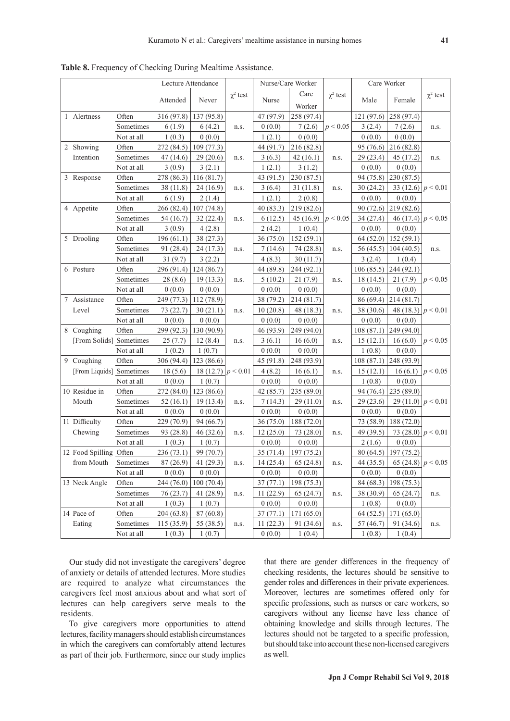|                                   |            | Lecture Attendance |                      |               | Nurse/Care Worker |                       | Care Worker   |                     |                                 |                       |
|-----------------------------------|------------|--------------------|----------------------|---------------|-------------------|-----------------------|---------------|---------------------|---------------------------------|-----------------------|
|                                   |            |                    |                      | $\chi^2$ test |                   | Care                  | $\chi^2$ test |                     |                                 | $\chi^2$ test         |
|                                   |            | Attended           | Never                |               | Nurse             | Worker                |               | Male                | Female                          |                       |
| 1 Alertness                       | Often      | 316 (97.8)         | 137(95.8)            |               | 47 (97.9)         | 258 (97.4)            |               | 121 (97.6)          | 258 (97.4)                      |                       |
|                                   | Sometimes  | 6(1.9)             | 6(4.2)               | n.s.          | 0(0.0)            | 7(2.6)                | p < 0.05      | 3(2.4)              | 7(2.6)                          | n.s.                  |
|                                   | Not at all | 1(0.3)             | 0(0.0)               |               | 1(2.1)            | 0(0.0)                |               | 0(0.0)              | 0(0.0)                          |                       |
| 2 Showing                         | Often      | 272 (84.5)         | 109(77.3)            |               | 44 (91.7)         | 216 (82.8)            |               | 95 (76.6)           | 216 (82.8)                      |                       |
| Intention                         | Sometimes  | 47(14.6)           | 29(20.6)             | n.s.          | 3(6.3)            | 42(16.1)              | n.s.          | 29(23.4)            | 45 (17.2)                       | n.s.                  |
|                                   | Not at all | 3(0.9)             | 3(2.1)               |               | 1(2.1)            | 3(1.2)                |               | 0(0.0)              | 0(0.0)                          |                       |
| 3 Response                        | Often      | 278 (86.3)         | 116(81.7)            |               | 43 (91.5)         | 230 (87.5)            |               | 94 (75.8)           | 230 (87.5)                      |                       |
|                                   | Sometimes  | 38(11.8)           | 24(16.9)             | n.s.          | 3(6.4)            | 31(11.8)              | n.s.          | 30(24.2)            | 33 (12.6) $ p < 0.01 $          |                       |
|                                   | Not at all | 6(1.9)             | 2(1.4)               |               | 1(2.1)            | 2(0.8)                |               | 0(0.0)              | 0(0.0)                          |                       |
| 4 Appetite                        | Often      | 266 (82.4)         | 107(74.8)            |               | 40(83.3)          | 219 (82.6)            |               | 90 (72.6)           | 219 (82.6)                      |                       |
|                                   | Sometimes  | 54 (16.7)          | 32(22.4)             | n.s.          | 6(12.5)           | 45 (16.9) $ p < 0.05$ |               | 34 (27.4)           | 46 (17.4) $ p < 0.05$           |                       |
|                                   | Not at all | 3(0.9)             | 4(2.8)               |               | 2(4.2)            | 1(0.4)                |               | 0(0.0)              | 0(0.0)                          |                       |
| 5 Drooling                        | Often      | 196(61.1)          | 38 (27.3)            |               | 36(75.0)          | 152(59.1)             |               | 64 (52.0)           | 152(59.1)                       |                       |
|                                   | Sometimes  | 91 (28.4)          | 24 (17.3)            | n.s.          | 7(14.6)           | 74 (28.8)             | n.s.          | 56 (45.5)           | 104(40.5)                       | n.s.                  |
|                                   | Not at all | 31(9.7)            | 3(2.2)               |               | 4(8.3)            | 30(11.7)              |               | 3(2.4)              | 1(0.4)                          |                       |
| 6 Posture                         | Often      | 296 (91.4)         | 124(86.7)            |               | 44 (89.8)         | 244 (92.1)            |               | 106(85.5)           | 244(92.1)                       |                       |
|                                   | Sometimes  | 28 (8.6)           | 19(13.3)             | n.s.          | 5(10.2)           | 21 (7.9)              | n.s.          | 18 (14.5)           | 21(7.9)                         | p < 0.05              |
|                                   | Not at all | 0(0.0)             | 0(0.0)               |               | 0(0.0)            | 0(0.0)                |               | 0(0.0)              | 0(0.0)                          |                       |
| 7 Assistance                      | Often      | 249 (77.3)         | 112(78.9)            |               | 38 (79.2)         | 214 (81.7)            |               | 86 (69.4)           | 214 (81.7)                      |                       |
| Level                             | Sometimes  | 73 (22.7)          | 30(21.1)             | n.s.          | 10(20.8)          | 48 (18.3)             | n.s.          | 38 (30.6)           | 48 (18.3) $ p < 0.01 $          |                       |
|                                   | Not at all | 0(0.0)             | 0(0.0)               |               | 0(0.0)            | 0(0.0)                |               | 0(0.0)              | 0(0.0)                          |                       |
| 8 Coughing                        | Often      | 299(92.3)          | 130 (90.9)           |               | 46 (93.9)         | 249 (94.0)            |               | 108(87.1)           | 249 (94.0)                      |                       |
| [From Solids] Sometimes           |            | 25(7.7)            | 12(8.4)              | n.s.          | 3(6.1)            | 16(6.0)               | n.s.          | 15(12.1)            | 16(6.0)                         | p < 0.05              |
|                                   | Not at all | 1(0.2)             | 1(0.7)               |               | 0(0.0)            | 0(0.0)                |               | 1(0.8)              | 0(0.0)                          |                       |
| 9 Coughing                        | Often      | 306(94.4)          | 123 (86.6)           |               | 45 (91.8)         | 248 (93.9)            |               | 108(87.1)           | 248 (93.9)                      |                       |
| [From Liquids] Sometimes          |            | 18(5.6)            | 18 (12.7) $p < 0.01$ |               | 4(8.2)            | 16(6.1)               | n.s.          | 15(12.1)            |                                 | 16 (6.1) $ p < 0.05 $ |
|                                   | Not at all | 0(0.0)             | 1(0.7)               |               | 0(0.0)            | 0(0.0)                |               | 1(0.8)              | 0(0.0)                          |                       |
| 10 Residue in                     | Often      | 272 (84.0)         | 123 (86.6)           |               | 42 (85.7)         | 235 (89.0)            |               | 94 (76.4)           | 235 (89.0)                      |                       |
| Mouth                             | Sometimes  | 52(16.1)           | 19(13.4)             | n.s.          | 7(14.3)           | 29(11.0)              | n.s.          | 29(23.6)            | 29 (11.0) $ p < 0.01$           |                       |
|                                   | Not at all | 0(0.0)             | 0(0.0)               |               | 0(0.0)            | 0(0.0)                |               | 0(0.0)              | 0(0.0)                          |                       |
| 11 Difficulty                     | Often      | 229 (70.9)         | 94 (66.7)            |               | 36 (75.0)         | 188 (72.0)            |               | 73 (58.9)           | 188 (72.0)                      |                       |
| Chewing                           | Sometimes  | 93 (28.8)          | 46 (32.6)            | n.s.          | 12(25.0)          | 73 (28.0)             | n.s.          | 49 (39.5)           | 73 (28.0) $ p < 0.01$           |                       |
|                                   | Not at all | 1(0.3)             | 1(0.7)               |               | 0(0.0)            | 0(0.0)                |               | 2(1.6)              | 0(0.0)                          |                       |
| 12 Food Spilling Often            |            | 236 (73.1)         | 99 (70.7)            |               | 35 (71.4)         | 197 (75.2)            |               | 80(64.5)            | 197 (75.2)                      |                       |
| from Mouth Sometimes   $87(26.9)$ |            |                    | 41(29.3)             | n.s.          |                   | $14(25.4)$ 65 (24.8)  | n.s.          |                     | 44 (35.5) 65 (24.8) $ p < 0.05$ |                       |
|                                   | Not at all | 0(0.0)             | 0(0.0)               |               | 0(0.0)            | 0(0.0)                |               | 0(0.0)              | 0(0.0)                          |                       |
| 13 Neck Angle                     | Often      | 244 (76.0)         | 100(70.4)            |               | 37(77.1)          | 198 (75.3)            |               | 84 (68.3)           | 198 (75.3)                      |                       |
|                                   | Sometimes  | 76(23.7)           | 41 (28.9)            |               | 11(22.9)          | 65(24.7)              | n.s.          |                     | 65(24.7)                        |                       |
|                                   | Not at all | 1(0.3)             | 1(0.7)               | n.s.          | 0(0.0)            | 0(0.0)                |               | 38 (30.9)<br>1(0.8) | 0(0.0)                          | n.s.                  |
| 14 Pace of                        | Often      | 204 (63.8)         | 87 (60.8)            |               | 37(77.1)          | 171 (65.0)            |               | 64(52.5)            | 171(65.0)                       |                       |
| Eating                            | Sometimes  | 115(35.9)          | 55 (38.5)            | n.s.          | 11(22.3)          | 91 (34.6)             | n.s.          | 57(46.7)            | 91 (34.6)                       | n.s.                  |
|                                   | Not at all | 1(0.3)             | 1(0.7)               |               | 0(0.0)            | 1(0.4)                |               | 1(0.8)              | 1(0.4)                          |                       |
|                                   |            |                    |                      |               |                   |                       |               |                     |                                 |                       |

**Table 8.** Frequency of Checking During Mealtime Assistance.

Our study did not investigate the caregivers' degree of anxiety or details of attended lectures. More studies are required to analyze what circumstances the caregivers feel most anxious about and what sort of lectures can help caregivers serve meals to the residents.

To give caregivers more opportunities to attend lectures, facility managers should establish circumstances in which the caregivers can comfortably attend lectures as part of their job. Furthermore, since our study implies

that there are gender differences in the frequency of checking residents, the lectures should be sensitive to gender roles and differences in their private experiences. Moreover, lectures are sometimes offered only for specific professions, such as nurses or care workers, so caregivers without any license have less chance of obtaining knowledge and skills through lectures. The lectures should not be targeted to a specific profession, but should take into account these non-licensed caregivers as well.